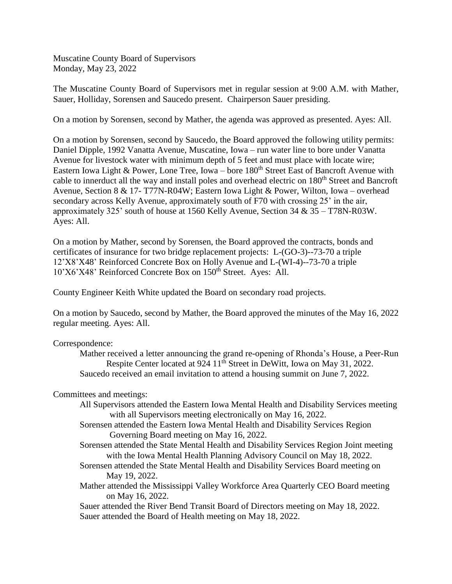Muscatine County Board of Supervisors Monday, May 23, 2022

The Muscatine County Board of Supervisors met in regular session at 9:00 A.M. with Mather, Sauer, Holliday, Sorensen and Saucedo present. Chairperson Sauer presiding.

On a motion by Sorensen, second by Mather, the agenda was approved as presented. Ayes: All.

On a motion by Sorensen, second by Saucedo, the Board approved the following utility permits: Daniel Dipple, 1992 Vanatta Avenue, Muscatine, Iowa – run water line to bore under Vanatta Avenue for livestock water with minimum depth of 5 feet and must place with locate wire; Eastern Iowa Light & Power, Lone Tree, Iowa – bore  $180<sup>th</sup>$  Street East of Bancroft Avenue with cable to innerduct all the way and install poles and overhead electric on 180<sup>th</sup> Street and Bancroft Avenue, Section 8 & 17- T77N-R04W; Eastern Iowa Light & Power, Wilton, Iowa – overhead secondary across Kelly Avenue, approximately south of F70 with crossing 25' in the air, approximately 325' south of house at 1560 Kelly Avenue, Section 34 & 35 – T78N-R03W. Ayes: All.

On a motion by Mather, second by Sorensen, the Board approved the contracts, bonds and certificates of insurance for two bridge replacement projects: L-(GO-3)--73-70 a triple 12'X8'X48' Reinforced Concrete Box on Holly Avenue and L-(WI-4)--73-70 a triple 10'X6'X48' Reinforced Concrete Box on 150th Street. Ayes: All.

County Engineer Keith White updated the Board on secondary road projects.

On a motion by Saucedo, second by Mather, the Board approved the minutes of the May 16, 2022 regular meeting. Ayes: All.

Correspondence:

Mather received a letter announcing the grand re-opening of Rhonda's House, a Peer-Run Respite Center located at 924 11<sup>th</sup> Street in DeWitt, Iowa on May 31, 2022. Saucedo received an email invitation to attend a housing summit on June 7, 2022.

Committees and meetings:

- All Supervisors attended the Eastern Iowa Mental Health and Disability Services meeting with all Supervisors meeting electronically on May 16, 2022.
- Sorensen attended the Eastern Iowa Mental Health and Disability Services Region Governing Board meeting on May 16, 2022.
- Sorensen attended the State Mental Health and Disability Services Region Joint meeting with the Iowa Mental Health Planning Advisory Council on May 18, 2022.
- Sorensen attended the State Mental Health and Disability Services Board meeting on May 19, 2022.
- Mather attended the Mississippi Valley Workforce Area Quarterly CEO Board meeting on May 16, 2022.

Sauer attended the River Bend Transit Board of Directors meeting on May 18, 2022. Sauer attended the Board of Health meeting on May 18, 2022.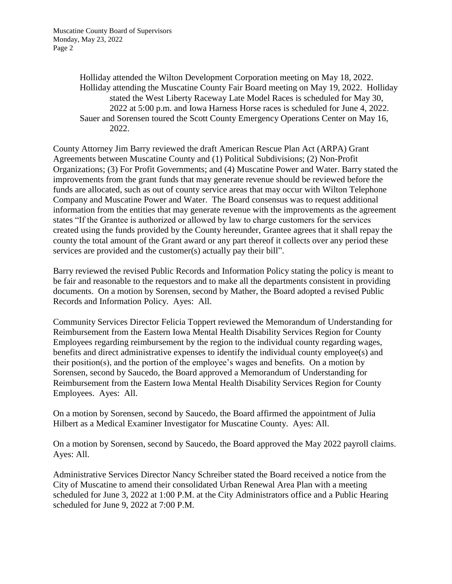Holliday attended the Wilton Development Corporation meeting on May 18, 2022. Holliday attending the Muscatine County Fair Board meeting on May 19, 2022. Holliday stated the West Liberty Raceway Late Model Races is scheduled for May 30, 2022 at 5:00 p.m. and Iowa Harness Horse races is scheduled for June 4, 2022. Sauer and Sorensen toured the Scott County Emergency Operations Center on May 16, 2022.

County Attorney Jim Barry reviewed the draft American Rescue Plan Act (ARPA) Grant Agreements between Muscatine County and (1) Political Subdivisions; (2) Non-Profit Organizations; (3) For Profit Governments; and (4) Muscatine Power and Water. Barry stated the improvements from the grant funds that may generate revenue should be reviewed before the funds are allocated, such as out of county service areas that may occur with Wilton Telephone Company and Muscatine Power and Water. The Board consensus was to request additional information from the entities that may generate revenue with the improvements as the agreement states "If the Grantee is authorized or allowed by law to charge customers for the services created using the funds provided by the County hereunder, Grantee agrees that it shall repay the county the total amount of the Grant award or any part thereof it collects over any period these services are provided and the customer(s) actually pay their bill".

Barry reviewed the revised Public Records and Information Policy stating the policy is meant to be fair and reasonable to the requestors and to make all the departments consistent in providing documents. On a motion by Sorensen, second by Mather, the Board adopted a revised Public Records and Information Policy. Ayes: All.

Community Services Director Felicia Toppert reviewed the Memorandum of Understanding for Reimbursement from the Eastern Iowa Mental Health Disability Services Region for County Employees regarding reimbursement by the region to the individual county regarding wages, benefits and direct administrative expenses to identify the individual county employee(s) and their position(s), and the portion of the employee's wages and benefits. On a motion by Sorensen, second by Saucedo, the Board approved a Memorandum of Understanding for Reimbursement from the Eastern Iowa Mental Health Disability Services Region for County Employees. Ayes: All.

On a motion by Sorensen, second by Saucedo, the Board affirmed the appointment of Julia Hilbert as a Medical Examiner Investigator for Muscatine County. Ayes: All.

On a motion by Sorensen, second by Saucedo, the Board approved the May 2022 payroll claims. Ayes: All.

Administrative Services Director Nancy Schreiber stated the Board received a notice from the City of Muscatine to amend their consolidated Urban Renewal Area Plan with a meeting scheduled for June 3, 2022 at 1:00 P.M. at the City Administrators office and a Public Hearing scheduled for June 9, 2022 at 7:00 P.M.